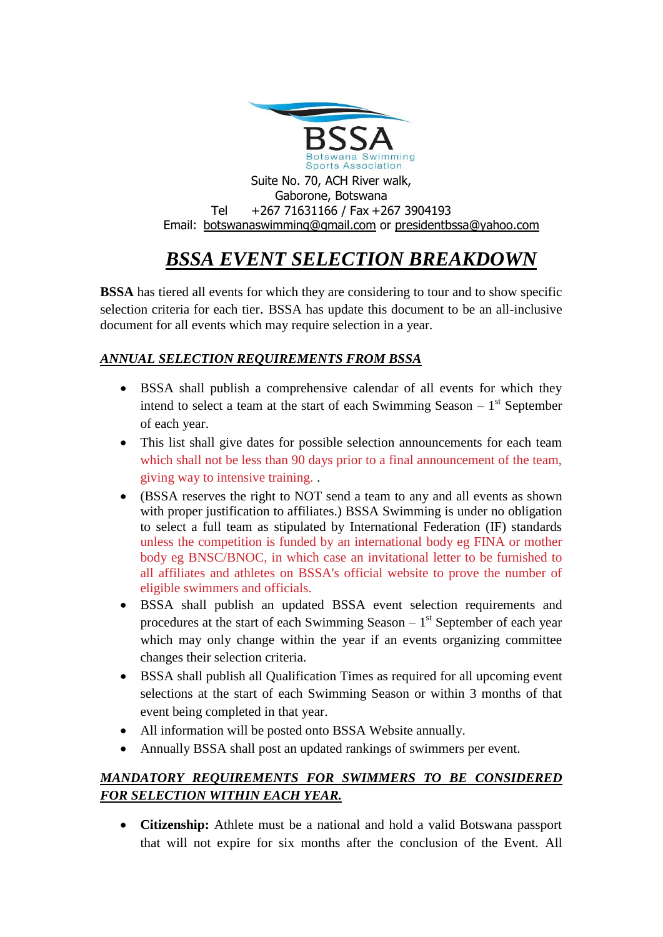

#### Suite No. 70, ACH River walk, Gaborone, Botswana Tel +267 71631166 / Fax +267 3904193 Email: [botswanaswimming@gmail.com](mailto:botswanaswimming@gmail.com) or [presidentbssa@yahoo.com](mailto:presidentbssa@yahoo.com)

# *BSSA EVENT SELECTION BREAKDOWN*

**BSSA** has tiered all events for which they are considering to tour and to show specific selection criteria for each tier. BSSA has update this document to be an all-inclusive document for all events which may require selection in a year.

## *ANNUAL SELECTION REQUIREMENTS FROM BSSA*

- BSSA shall publish a comprehensive calendar of all events for which they intend to select a team at the start of each Swimming Season  $-1$ <sup>st</sup> September of each year.
- This list shall give dates for possible selection announcements for each team which shall not be less than 90 days prior to a final announcement of the team, giving way to intensive training. .
- (BSSA reserves the right to NOT send a team to any and all events as shown with proper justification to affiliates.) BSSA Swimming is under no obligation to select a full team as stipulated by International Federation (IF) standards unless the competition is funded by an international body eg FINA or mother body eg BNSC/BNOC, in which case an invitational letter to be furnished to all affiliates and athletes on BSSA's official website to prove the number of eligible swimmers and officials.
- BSSA shall publish an updated BSSA event selection requirements and procedures at the start of each Swimming Season  $-1<sup>st</sup>$  September of each year which may only change within the year if an events organizing committee changes their selection criteria.
- BSSA shall publish all Qualification Times as required for all upcoming event selections at the start of each Swimming Season or within 3 months of that event being completed in that year.
- All information will be posted onto BSSA Website annually.
- Annually BSSA shall post an updated rankings of swimmers per event.

## *MANDATORY REQUIREMENTS FOR SWIMMERS TO BE CONSIDERED FOR SELECTION WITHIN EACH YEAR.*

• **Citizenship:** Athlete must be a national and hold a valid Botswana passport that will not expire for six months after the conclusion of the Event. All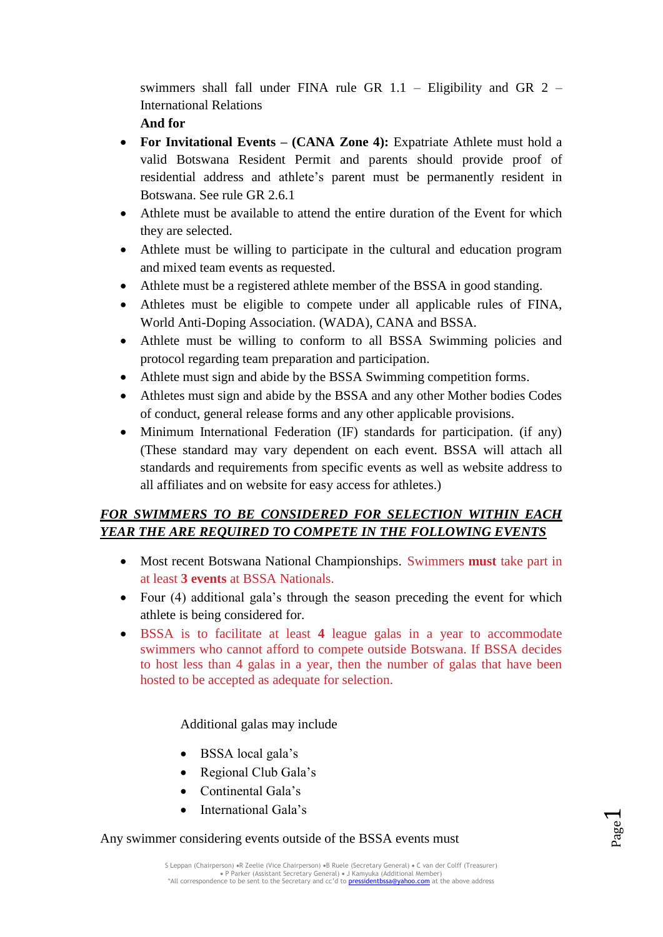swimmers shall fall under FINA rule GR 1.1 – Eligibility and GR 2 – International Relations

**And for**

- **For Invitational Events – (CANA Zone 4):** Expatriate Athlete must hold a valid Botswana Resident Permit and parents should provide proof of residential address and athlete's parent must be permanently resident in Botswana. See rule GR 2.6.1
- Athlete must be available to attend the entire duration of the Event for which they are selected.
- Athlete must be willing to participate in the cultural and education program and mixed team events as requested.
- Athlete must be a registered athlete member of the BSSA in good standing.
- Athletes must be eligible to compete under all applicable rules of FINA, World Anti-Doping Association. (WADA), CANA and BSSA.
- Athlete must be willing to conform to all BSSA Swimming policies and protocol regarding team preparation and participation.
- Athlete must sign and abide by the BSSA Swimming competition forms.
- Athletes must sign and abide by the BSSA and any other Mother bodies Codes of conduct, general release forms and any other applicable provisions.
- Minimum International Federation (IF) standards for participation. (if any) (These standard may vary dependent on each event. BSSA will attach all standards and requirements from specific events as well as website address to all affiliates and on website for easy access for athletes.)

## *FOR SWIMMERS TO BE CONSIDERED FOR SELECTION WITHIN EACH YEAR THE ARE REQUIRED TO COMPETE IN THE FOLLOWING EVENTS*

- Most recent Botswana National Championships. Swimmers **must** take part in at least **3 events** at BSSA Nationals.
- Four (4) additional gala's through the season preceding the event for which athlete is being considered for.
- BSSA is to facilitate at least **4** league galas in a year to accommodate swimmers who cannot afford to compete outside Botswana. If BSSA decides to host less than 4 galas in a year, then the number of galas that have been hosted to be accepted as adequate for selection.

### Additional galas may include

- BSSA local gala's
- Regional Club Gala's
- Continental Gala's
- International Gala's

#### Any swimmer considering events outside of the BSSA events must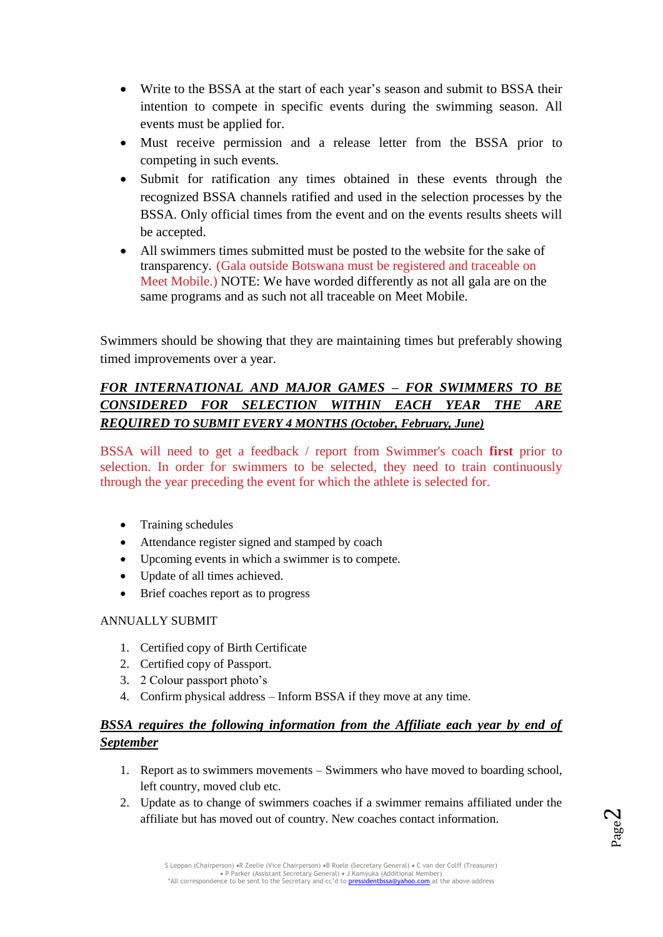- Write to the BSSA at the start of each year's season and submit to BSSA their intention to compete in specific events during the swimming season. All events must be applied for.
- Must receive permission and a release letter from the BSSA prior to competing in such events.
- Submit for ratification any times obtained in these events through the recognized BSSA channels ratified and used in the selection processes by the BSSA. Only official times from the event and on the events results sheets will be accepted.
- All swimmers times submitted must be posted to the website for the sake of transparency. (Gala outside Botswana must be registered and traceable on Meet Mobile.) NOTE: We have worded differently as not all gala are on the same programs and as such not all traceable on Meet Mobile.

Swimmers should be showing that they are maintaining times but preferably showing timed improvements over a year.

## *FOR INTERNATIONAL AND MAJOR GAMES – FOR SWIMMERS TO BE CONSIDERED FOR SELECTION WITHIN EACH YEAR THE ARE REQUIRED TO SUBMIT EVERY 4 MONTHS (October, February, June)*

BSSA will need to get a feedback / report from Swimmer's coach **first** prior to selection. In order for swimmers to be selected, they need to train continuously through the year preceding the event for which the athlete is selected for.

- Training schedules
- Attendance register signed and stamped by coach
- Upcoming events in which a swimmer is to compete.
- Update of all times achieved.
- Brief coaches report as to progress

### ANNUALLY SUBMIT

- 1. Certified copy of Birth Certificate
- 2. Certified copy of Passport.
- 3. 2 Colour passport photo's
- 4. Confirm physical address Inform BSSA if they move at any time.

## *BSSA requires the following information from the Affiliate each year by end of September*

- 1. Report as to swimmers movements Swimmers who have moved to boarding school, left country, moved club etc.
- 2. Update as to change of swimmers coaches if a swimmer remains affiliated under the affiliate but has moved out of country. New coaches contact information.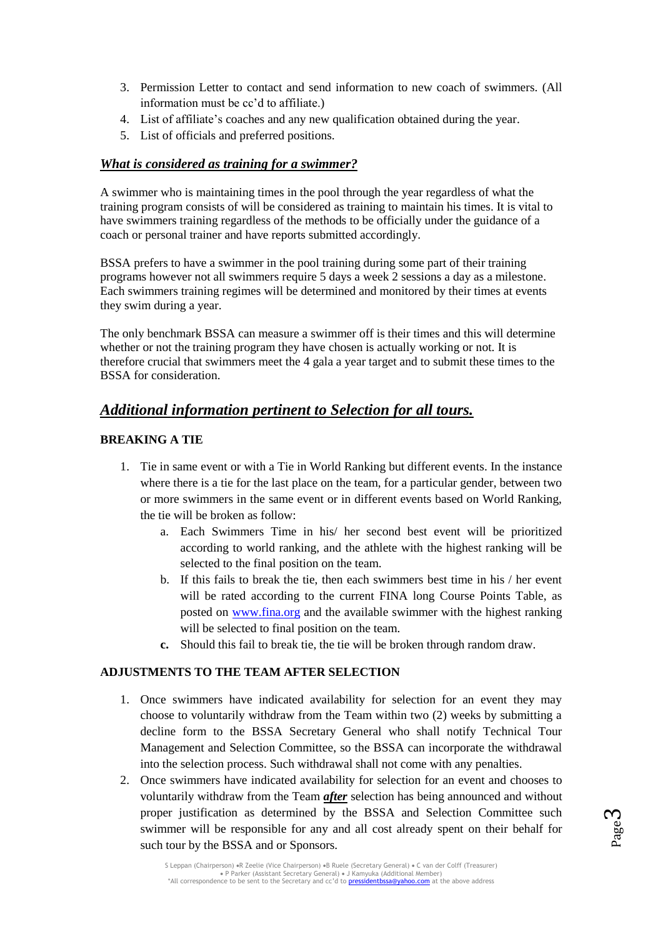- 3. Permission Letter to contact and send information to new coach of swimmers. (All information must be cc'd to affiliate.)
- 4. List of affiliate's coaches and any new qualification obtained during the year.
- 5. List of officials and preferred positions.

#### *What is considered as training for a swimmer?*

A swimmer who is maintaining times in the pool through the year regardless of what the training program consists of will be considered as training to maintain his times. It is vital to have swimmers training regardless of the methods to be officially under the guidance of a coach or personal trainer and have reports submitted accordingly.

BSSA prefers to have a swimmer in the pool training during some part of their training programs however not all swimmers require 5 days a week 2 sessions a day as a milestone. Each swimmers training regimes will be determined and monitored by their times at events they swim during a year.

The only benchmark BSSA can measure a swimmer off is their times and this will determine whether or not the training program they have chosen is actually working or not. It is therefore crucial that swimmers meet the 4 gala a year target and to submit these times to the BSSA for consideration.

## *Additional information pertinent to Selection for all tours.*

#### **BREAKING A TIE**

- 1. Tie in same event or with a Tie in World Ranking but different events. In the instance where there is a tie for the last place on the team, for a particular gender, between two or more swimmers in the same event or in different events based on World Ranking, the tie will be broken as follow:
	- a. Each Swimmers Time in his/ her second best event will be prioritized according to world ranking, and the athlete with the highest ranking will be selected to the final position on the team.
	- b. If this fails to break the tie, then each swimmers best time in his / her event will be rated according to the current FINA long Course Points Table, as posted on [www.fina.org](http://www.fina.org/) and the available swimmer with the highest ranking will be selected to final position on the team.
	- **c.** Should this fail to break tie, the tie will be broken through random draw.

#### **ADJUSTMENTS TO THE TEAM AFTER SELECTION**

- 1. Once swimmers have indicated availability for selection for an event they may choose to voluntarily withdraw from the Team within two (2) weeks by submitting a decline form to the BSSA Secretary General who shall notify Technical Tour Management and Selection Committee, so the BSSA can incorporate the withdrawal into the selection process. Such withdrawal shall not come with any penalties.
- 2. Once swimmers have indicated availability for selection for an event and chooses to voluntarily withdraw from the Team *after* selection has being announced and without proper justification as determined by the BSSA and Selection Committee such swimmer will be responsible for any and all cost already spent on their behalf for such tour by the BSSA and or Sponsors.



S Leppan (Chairperson) «R Zeelie (Vice Chairperson) «B Ruele (Secretary General) « C van der Colff (Treasurer) P Parker (Assistant Secretary General) J Kamyuka (Additional Member) \*All correspondence to be sent to the Secretary and cc'd to pressidentbssa@yahoo.com at the above address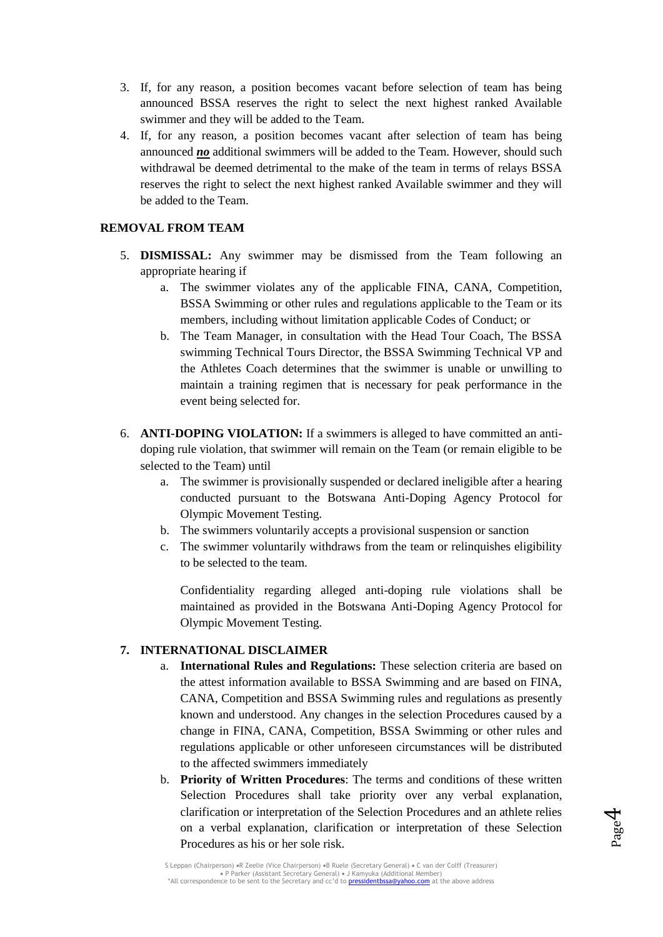- 3. If, for any reason, a position becomes vacant before selection of team has being announced BSSA reserves the right to select the next highest ranked Available swimmer and they will be added to the Team.
- 4. If, for any reason, a position becomes vacant after selection of team has being announced *no* additional swimmers will be added to the Team. However, should such withdrawal be deemed detrimental to the make of the team in terms of relays BSSA reserves the right to select the next highest ranked Available swimmer and they will be added to the Team.

#### **REMOVAL FROM TEAM**

- 5. **DISMISSAL:** Any swimmer may be dismissed from the Team following an appropriate hearing if
	- a. The swimmer violates any of the applicable FINA, CANA, Competition, BSSA Swimming or other rules and regulations applicable to the Team or its members, including without limitation applicable Codes of Conduct; or
	- b. The Team Manager, in consultation with the Head Tour Coach, The BSSA swimming Technical Tours Director, the BSSA Swimming Technical VP and the Athletes Coach determines that the swimmer is unable or unwilling to maintain a training regimen that is necessary for peak performance in the event being selected for.
- 6. **ANTI-DOPING VIOLATION:** If a swimmers is alleged to have committed an antidoping rule violation, that swimmer will remain on the Team (or remain eligible to be selected to the Team) until
	- a. The swimmer is provisionally suspended or declared ineligible after a hearing conducted pursuant to the Botswana Anti-Doping Agency Protocol for Olympic Movement Testing.
	- b. The swimmers voluntarily accepts a provisional suspension or sanction
	- c. The swimmer voluntarily withdraws from the team or relinquishes eligibility to be selected to the team.

Confidentiality regarding alleged anti-doping rule violations shall be maintained as provided in the Botswana Anti-Doping Agency Protocol for Olympic Movement Testing.

#### **7. INTERNATIONAL DISCLAIMER**

- a. **International Rules and Regulations:** These selection criteria are based on the attest information available to BSSA Swimming and are based on FINA, CANA, Competition and BSSA Swimming rules and regulations as presently known and understood. Any changes in the selection Procedures caused by a change in FINA, CANA, Competition, BSSA Swimming or other rules and regulations applicable or other unforeseen circumstances will be distributed to the affected swimmers immediately
- b. **Priority of Written Procedures**: The terms and conditions of these written Selection Procedures shall take priority over any verbal explanation, clarification or interpretation of the Selection Procedures and an athlete relies on a verbal explanation, clarification or interpretation of these Selection Procedures as his or her sole risk.



S Leppan (Chairperson) «R Zeelie (Vice Chairperson) «B Ruele (Secretary General) « C van der Colff (Treasurer) P Parker (Assistant Secretary General) J Kamyuka (Additional Member) \*All correspondence to be sent to the Secretary and cc'd to pressidentbssa@yahoo.com at the above address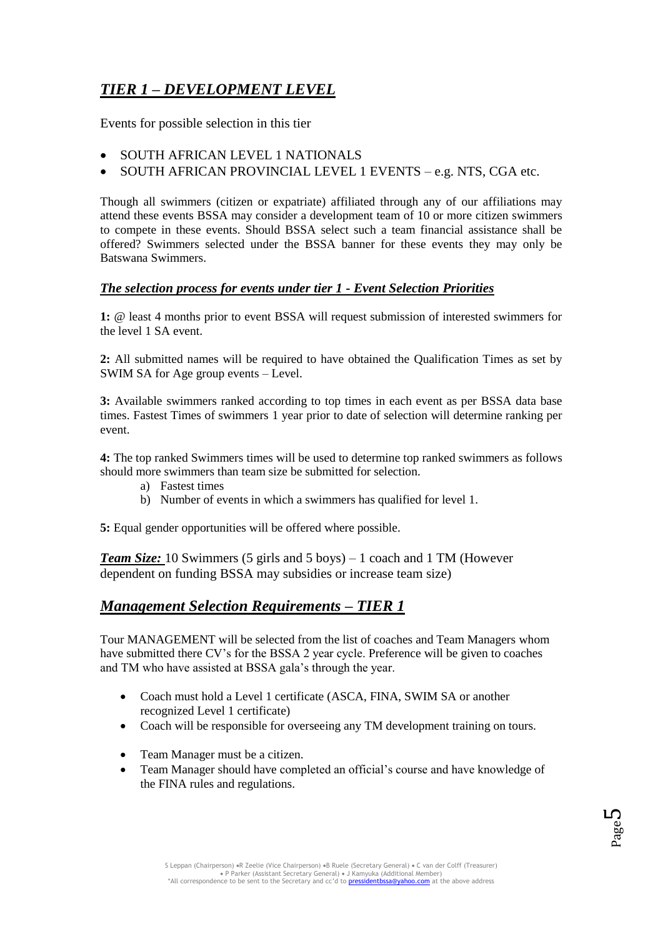## *TIER 1 – DEVELOPMENT LEVEL*

Events for possible selection in this tier

- SOUTH AFRICAN LEVEL 1 NATIONALS
- SOUTH AFRICAN PROVINCIAL LEVEL 1 EVENTS e.g. NTS, CGA etc.

Though all swimmers (citizen or expatriate) affiliated through any of our affiliations may attend these events BSSA may consider a development team of 10 or more citizen swimmers to compete in these events. Should BSSA select such a team financial assistance shall be offered? Swimmers selected under the BSSA banner for these events they may only be Batswana Swimmers.

#### *The selection process for events under tier 1 - Event Selection Priorities*

**1:** @ least 4 months prior to event BSSA will request submission of interested swimmers for the level 1 SA event.

**2:** All submitted names will be required to have obtained the Qualification Times as set by SWIM SA for Age group events – Level.

**3:** Available swimmers ranked according to top times in each event as per BSSA data base times. Fastest Times of swimmers 1 year prior to date of selection will determine ranking per event.

**4:** The top ranked Swimmers times will be used to determine top ranked swimmers as follows should more swimmers than team size be submitted for selection.

- a) Fastest times
- b) Number of events in which a swimmers has qualified for level 1.

**5:** Equal gender opportunities will be offered where possible.

*Team Size:* 10 Swimmers (5 girls and 5 boys) – 1 coach and 1 TM (However dependent on funding BSSA may subsidies or increase team size)

## *Management Selection Requirements – TIER 1*

Tour MANAGEMENT will be selected from the list of coaches and Team Managers whom have submitted there CV's for the BSSA 2 year cycle. Preference will be given to coaches and TM who have assisted at BSSA gala's through the year.

- Coach must hold a Level 1 certificate (ASCA, FINA, SWIM SA or another recognized Level 1 certificate)
- Coach will be responsible for overseeing any TM development training on tours.
- Team Manager must be a citizen.
- Team Manager should have completed an official's course and have knowledge of the FINA rules and regulations.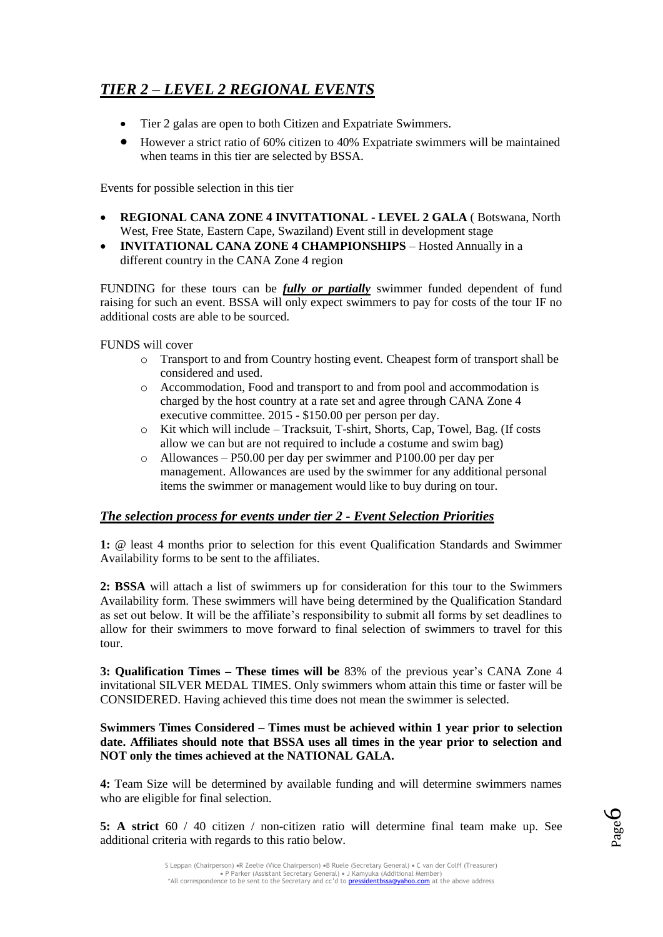## *TIER 2 – LEVEL 2 REGIONAL EVENTS*

- Tier 2 galas are open to both Citizen and Expatriate Swimmers.
- However a strict ratio of 60% citizen to 40% Expatriate swimmers will be maintained when teams in this tier are selected by BSSA.

Events for possible selection in this tier

- **REGIONAL CANA ZONE 4 INVITATIONAL - LEVEL 2 GALA** ( Botswana, North West, Free State, Eastern Cape, Swaziland) Event still in development stage
- **INVITATIONAL CANA ZONE 4 CHAMPIONSHIPS** Hosted Annually in a different country in the CANA Zone 4 region

FUNDING for these tours can be *fully or partially* swimmer funded dependent of fund raising for such an event. BSSA will only expect swimmers to pay for costs of the tour IF no additional costs are able to be sourced.

FUNDS will cover

- o Transport to and from Country hosting event. Cheapest form of transport shall be considered and used.
- o Accommodation, Food and transport to and from pool and accommodation is charged by the host country at a rate set and agree through CANA Zone 4 executive committee. 2015 - \$150.00 per person per day.
- o Kit which will include Tracksuit, T-shirt, Shorts, Cap, Towel, Bag. (If costs allow we can but are not required to include a costume and swim bag)
- o Allowances P50.00 per day per swimmer and P100.00 per day per management. Allowances are used by the swimmer for any additional personal items the swimmer or management would like to buy during on tour.

#### *The selection process for events under tier 2 - Event Selection Priorities*

**1:** @ least 4 months prior to selection for this event Qualification Standards and Swimmer Availability forms to be sent to the affiliates.

**2: BSSA** will attach a list of swimmers up for consideration for this tour to the Swimmers Availability form. These swimmers will have being determined by the Qualification Standard as set out below. It will be the affiliate's responsibility to submit all forms by set deadlines to allow for their swimmers to move forward to final selection of swimmers to travel for this tour.

**3: Qualification Times – These times will be** 83% of the previous year's CANA Zone 4 invitational SILVER MEDAL TIMES. Only swimmers whom attain this time or faster will be CONSIDERED. Having achieved this time does not mean the swimmer is selected.

#### **Swimmers Times Considered – Times must be achieved within 1 year prior to selection date. Affiliates should note that BSSA uses all times in the year prior to selection and NOT only the times achieved at the NATIONAL GALA.**

**4:** Team Size will be determined by available funding and will determine swimmers names who are eligible for final selection.

**5: A strict** 60 / 40 citizen / non-citizen ratio will determine final team make up. See additional criteria with regards to this ratio below.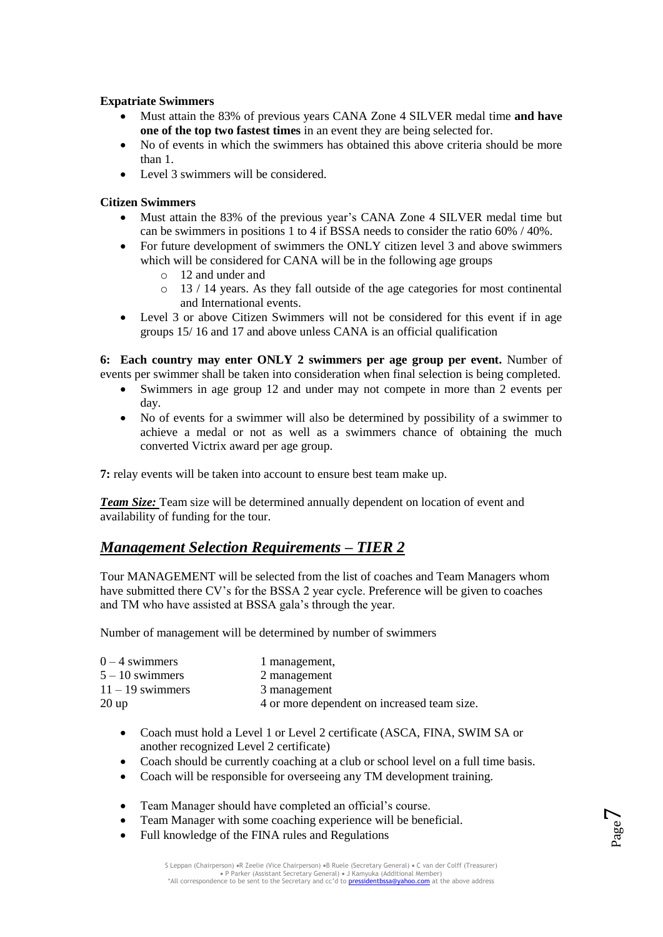#### **Expatriate Swimmers**

- Must attain the 83% of previous years CANA Zone 4 SILVER medal time **and have one of the top two fastest times** in an event they are being selected for.
- No of events in which the swimmers has obtained this above criteria should be more than 1.
- Level 3 swimmers will be considered.

#### **Citizen Swimmers**

- Must attain the 83% of the previous year's CANA Zone 4 SILVER medal time but can be swimmers in positions 1 to 4 if BSSA needs to consider the ratio 60% / 40%.
- For future development of swimmers the ONLY citizen level 3 and above swimmers which will be considered for CANA will be in the following age groups
	- o 12 and under and
	- $\circ$  13 / 14 years. As they fall outside of the age categories for most continental and International events.
- Level 3 or above Citizen Swimmers will not be considered for this event if in age groups 15/ 16 and 17 and above unless CANA is an official qualification

**6: Each country may enter ONLY 2 swimmers per age group per event.** Number of events per swimmer shall be taken into consideration when final selection is being completed.

- Swimmers in age group 12 and under may not compete in more than 2 events per day.
- No of events for a swimmer will also be determined by possibility of a swimmer to achieve a medal or not as well as a swimmers chance of obtaining the much converted Victrix award per age group.

**7:** relay events will be taken into account to ensure best team make up.

*Team Size:* Team size will be determined annually dependent on location of event and availability of funding for the tour.

## *Management Selection Requirements – TIER 2*

Tour MANAGEMENT will be selected from the list of coaches and Team Managers whom have submitted there CV's for the BSSA 2 year cycle. Preference will be given to coaches and TM who have assisted at BSSA gala's through the year.

Number of management will be determined by number of swimmers

| $0 - 4$ swimmers   | 1 management,                               |
|--------------------|---------------------------------------------|
| $5 - 10$ swimmers  | 2 management                                |
| $11 - 19$ swimmers | 3 management                                |
| $20 \text{ up}$    | 4 or more dependent on increased team size. |

- Coach must hold a Level 1 or Level 2 certificate (ASCA, FINA, SWIM SA or another recognized Level 2 certificate)
- Coach should be currently coaching at a club or school level on a full time basis.
- Coach will be responsible for overseeing any TM development training.
- Team Manager should have completed an official's course.
- Team Manager with some coaching experience will be beneficial.
- Full knowledge of the FINA rules and Regulations

Page  $\overline{\phantom{0}}$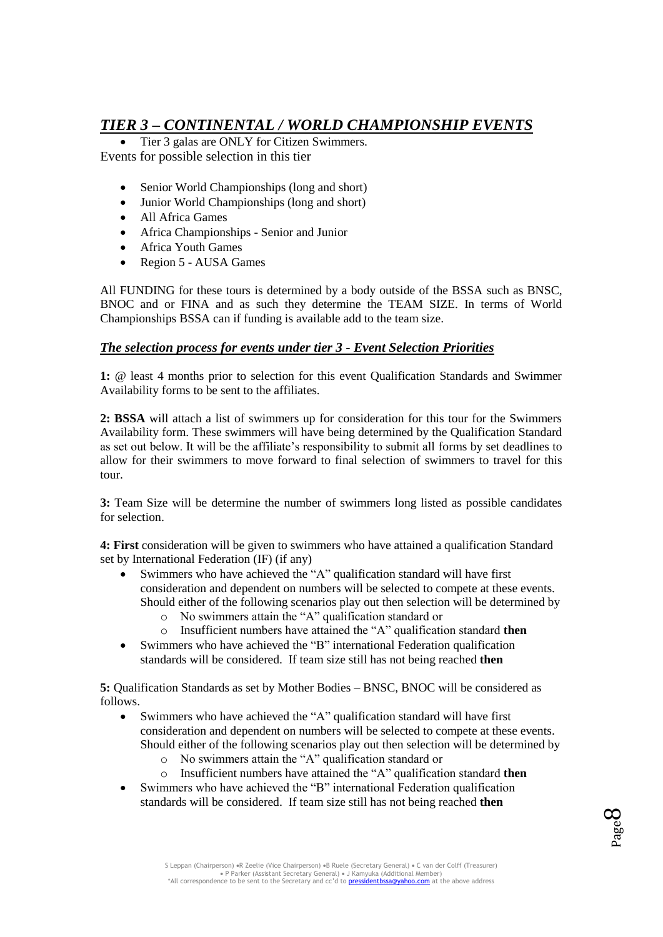## *TIER 3 – CONTINENTAL / WORLD CHAMPIONSHIP EVENTS*

 Tier 3 galas are ONLY for Citizen Swimmers. Events for possible selection in this tier

- Senior World Championships (long and short)
- Junior World Championships (long and short)
- All Africa Games
- Africa Championships Senior and Junior
- Africa Youth Games
- Region 5 AUSA Games

All FUNDING for these tours is determined by a body outside of the BSSA such as BNSC, BNOC and or FINA and as such they determine the TEAM SIZE. In terms of World Championships BSSA can if funding is available add to the team size.

#### *The selection process for events under tier 3 - Event Selection Priorities*

**1:** @ least 4 months prior to selection for this event Qualification Standards and Swimmer Availability forms to be sent to the affiliates.

**2: BSSA** will attach a list of swimmers up for consideration for this tour for the Swimmers Availability form. These swimmers will have being determined by the Qualification Standard as set out below. It will be the affiliate's responsibility to submit all forms by set deadlines to allow for their swimmers to move forward to final selection of swimmers to travel for this tour.

**3:** Team Size will be determine the number of swimmers long listed as possible candidates for selection.

**4: First** consideration will be given to swimmers who have attained a qualification Standard set by International Federation (IF) (if any)

- Swimmers who have achieved the "A" qualification standard will have first consideration and dependent on numbers will be selected to compete at these events. Should either of the following scenarios play out then selection will be determined by
	- o No swimmers attain the "A" qualification standard or
	- o Insufficient numbers have attained the "A" qualification standard **then**
- Swimmers who have achieved the "B" international Federation qualification standards will be considered. If team size still has not being reached **then**

**5:** Qualification Standards as set by Mother Bodies – BNSC, BNOC will be considered as follows.

- Swimmers who have achieved the "A" qualification standard will have first consideration and dependent on numbers will be selected to compete at these events. Should either of the following scenarios play out then selection will be determined by
	- o No swimmers attain the "A" qualification standard or
	- o Insufficient numbers have attained the "A" qualification standard **then**
- Swimmers who have achieved the "B" international Federation qualification standards will be considered. If team size still has not being reached **then**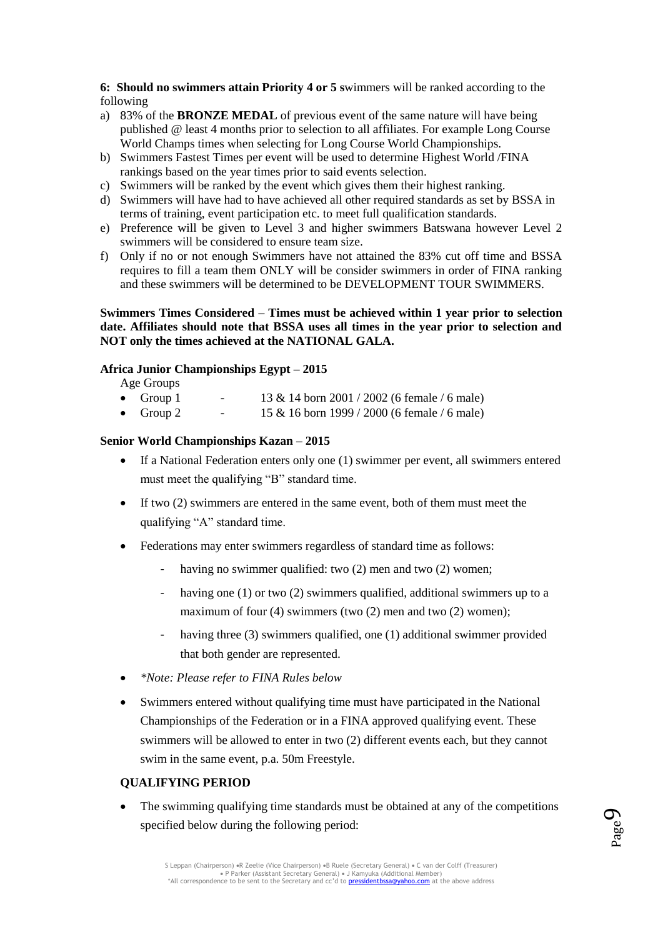**6: Should no swimmers attain Priority 4 or 5 s**wimmers will be ranked according to the following

- a) 83% of the **BRONZE MEDAL** of previous event of the same nature will have being published @ least 4 months prior to selection to all affiliates. For example Long Course World Champs times when selecting for Long Course World Championships.
- b) Swimmers Fastest Times per event will be used to determine Highest World /FINA rankings based on the year times prior to said events selection.
- c) Swimmers will be ranked by the event which gives them their highest ranking.
- d) Swimmers will have had to have achieved all other required standards as set by BSSA in terms of training, event participation etc. to meet full qualification standards.
- e) Preference will be given to Level 3 and higher swimmers Batswana however Level 2 swimmers will be considered to ensure team size.
- f) Only if no or not enough Swimmers have not attained the 83% cut off time and BSSA requires to fill a team them ONLY will be consider swimmers in order of FINA ranking and these swimmers will be determined to be DEVELOPMENT TOUR SWIMMERS.

#### **Swimmers Times Considered – Times must be achieved within 1 year prior to selection date. Affiliates should note that BSSA uses all times in the year prior to selection and NOT only the times achieved at the NATIONAL GALA.**

#### **Africa Junior Championships Egypt – 2015**

Age Groups

- Group 1 13 & 14 born 2001 / 2002 (6 female / 6 male)
- Group 2 15 & 16 born 1999 / 2000 (6 female / 6 male)

#### **Senior World Championships Kazan – 2015**

- If a National Federation enters only one (1) swimmer per event, all swimmers entered must meet the qualifying "B" standard time.
- If two (2) swimmers are entered in the same event, both of them must meet the qualifying "A" standard time.
- Federations may enter swimmers regardless of standard time as follows:
	- having no swimmer qualified: two (2) men and two (2) women;
	- having one  $(1)$  or two  $(2)$  swimmers qualified, additional swimmers up to a maximum of four (4) swimmers (two (2) men and two (2) women);
	- having three (3) swimmers qualified, one (1) additional swimmer provided that both gender are represented.
- *\*Note: Please refer to FINA Rules below*
- Swimmers entered without qualifying time must have participated in the National Championships of the Federation or in a FINA approved qualifying event. These swimmers will be allowed to enter in two (2) different events each, but they cannot swim in the same event, p.a. 50m Freestyle.

#### **QUALIFYING PERIOD**

• The swimming qualifying time standards must be obtained at any of the competitions specified below during the following period:

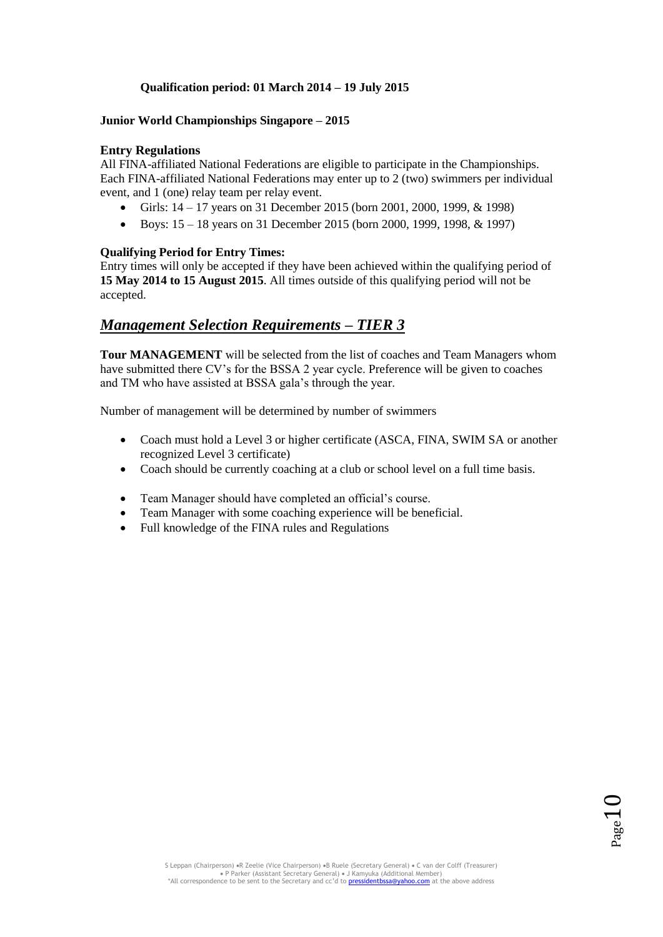#### **Qualification period: 01 March 2014 – 19 July 2015**

#### **Junior World Championships Singapore – 2015**

#### **Entry Regulations**

All FINA-affiliated National Federations are eligible to participate in the Championships. Each FINA-affiliated National Federations may enter up to 2 (two) swimmers per individual event, and 1 (one) relay team per relay event.

- Girls: 14 17 years on 31 December 2015 (born 2001, 2000, 1999, & 1998)
- Boys:  $15 18$  years on 31 December 2015 (born 2000, 1999, 1998, & 1997)

#### **Qualifying Period for Entry Times:**

Entry times will only be accepted if they have been achieved within the qualifying period of **15 May 2014 to 15 August 2015**. All times outside of this qualifying period will not be accepted.

### *Management Selection Requirements – TIER 3*

**Tour MANAGEMENT** will be selected from the list of coaches and Team Managers whom have submitted there CV's for the BSSA 2 year cycle. Preference will be given to coaches and TM who have assisted at BSSA gala's through the year.

Number of management will be determined by number of swimmers

- Coach must hold a Level 3 or higher certificate (ASCA, FINA, SWIM SA or another recognized Level 3 certificate)
- Coach should be currently coaching at a club or school level on a full time basis.
- Team Manager should have completed an official's course.
- Team Manager with some coaching experience will be beneficial.
- Full knowledge of the FINA rules and Regulations

 $10<sub>age</sub>$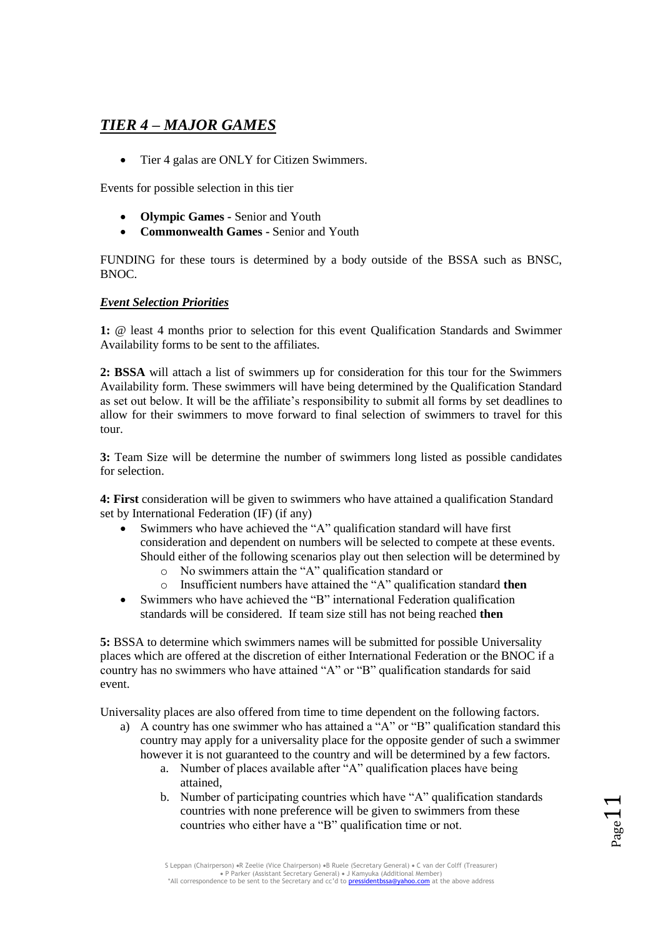## *TIER 4 – MAJOR GAMES*

• Tier 4 galas are ONLY for Citizen Swimmers.

Events for possible selection in this tier

- **Olympic Games -** Senior and Youth
- **Commonwealth Games -** Senior and Youth

FUNDING for these tours is determined by a body outside of the BSSA such as BNSC, BNOC.

#### *Event Selection Priorities*

**1:** @ least 4 months prior to selection for this event Qualification Standards and Swimmer Availability forms to be sent to the affiliates.

**2: BSSA** will attach a list of swimmers up for consideration for this tour for the Swimmers Availability form. These swimmers will have being determined by the Qualification Standard as set out below. It will be the affiliate's responsibility to submit all forms by set deadlines to allow for their swimmers to move forward to final selection of swimmers to travel for this tour.

**3:** Team Size will be determine the number of swimmers long listed as possible candidates for selection.

**4: First** consideration will be given to swimmers who have attained a qualification Standard set by International Federation (IF) (if any)

- Swimmers who have achieved the "A" qualification standard will have first consideration and dependent on numbers will be selected to compete at these events. Should either of the following scenarios play out then selection will be determined by
	- o No swimmers attain the "A" qualification standard or
	- o Insufficient numbers have attained the "A" qualification standard **then**
- Swimmers who have achieved the "B" international Federation qualification standards will be considered. If team size still has not being reached **then**

**5:** BSSA to determine which swimmers names will be submitted for possible Universality places which are offered at the discretion of either International Federation or the BNOC if a country has no swimmers who have attained "A" or "B" qualification standards for said event.

Universality places are also offered from time to time dependent on the following factors.

- a) A country has one swimmer who has attained a "A" or "B" qualification standard this country may apply for a universality place for the opposite gender of such a swimmer however it is not guaranteed to the country and will be determined by a few factors.
	- a. Number of places available after "A" qualification places have being attained,
	- b. Number of participating countries which have "A" qualification standards countries with none preference will be given to swimmers from these countries who either have a "B" qualification time or not.

Page 11

S Leppan (Chairperson) «R Zeelie (Vice Chairperson) «B Ruele (Secretary General) « C van der Colff (Treasurer) P Parker (Assistant Secretary General) J Kamyuka (Additional Member) \*All correspondence to be sent to the Secretary and cc'd to pressidentbssa@yahoo.com at the above address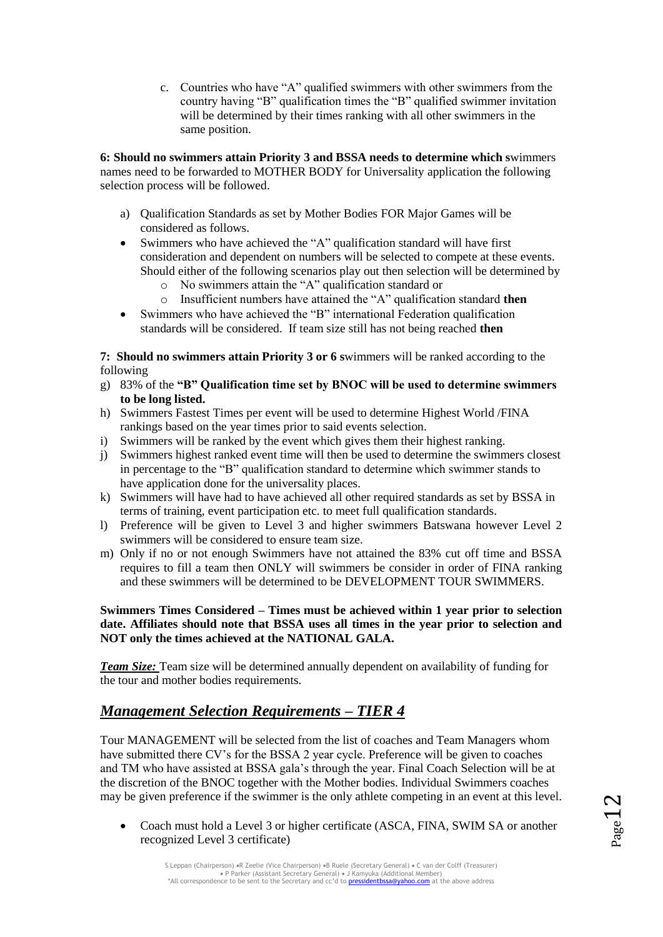c. Countries who have "A" qualified swimmers with other swimmers from the country having "B" qualification times the "B" qualified swimmer invitation will be determined by their times ranking with all other swimmers in the same position.

**6: Should no swimmers attain Priority 3 and BSSA needs to determine which s**wimmers names need to be forwarded to MOTHER BODY for Universality application the following selection process will be followed.

- a) Qualification Standards as set by Mother Bodies FOR Major Games will be considered as follows.
- Swimmers who have achieved the "A" qualification standard will have first consideration and dependent on numbers will be selected to compete at these events. Should either of the following scenarios play out then selection will be determined by
	- o No swimmers attain the "A" qualification standard or
	- o Insufficient numbers have attained the "A" qualification standard **then**
- Swimmers who have achieved the "B" international Federation qualification standards will be considered. If team size still has not being reached **then**

**7: Should no swimmers attain Priority 3 or 6 s**wimmers will be ranked according to the following

- g) 83% of the **"B" Qualification time set by BNOC will be used to determine swimmers to be long listed.**
- h) Swimmers Fastest Times per event will be used to determine Highest World /FINA rankings based on the year times prior to said events selection.
- i) Swimmers will be ranked by the event which gives them their highest ranking.
- j) Swimmers highest ranked event time will then be used to determine the swimmers closest in percentage to the "B" qualification standard to determine which swimmer stands to have application done for the universality places.
- k) Swimmers will have had to have achieved all other required standards as set by BSSA in terms of training, event participation etc. to meet full qualification standards.
- l) Preference will be given to Level 3 and higher swimmers Batswana however Level 2 swimmers will be considered to ensure team size.
- m) Only if no or not enough Swimmers have not attained the 83% cut off time and BSSA requires to fill a team then ONLY will swimmers be consider in order of FINA ranking and these swimmers will be determined to be DEVELOPMENT TOUR SWIMMERS.

#### **Swimmers Times Considered – Times must be achieved within 1 year prior to selection date. Affiliates should note that BSSA uses all times in the year prior to selection and NOT only the times achieved at the NATIONAL GALA.**

*Team Size:* Team size will be determined annually dependent on availability of funding for the tour and mother bodies requirements.

## *Management Selection Requirements – TIER 4*

Tour MANAGEMENT will be selected from the list of coaches and Team Managers whom have submitted there CV's for the BSSA 2 year cycle. Preference will be given to coaches and TM who have assisted at BSSA gala's through the year. Final Coach Selection will be at the discretion of the BNOC together with the Mother bodies. Individual Swimmers coaches may be given preference if the swimmer is the only athlete competing in an event at this level.

 Coach must hold a Level 3 or higher certificate (ASCA, FINA, SWIM SA or another recognized Level 3 certificate)

 $Page12$